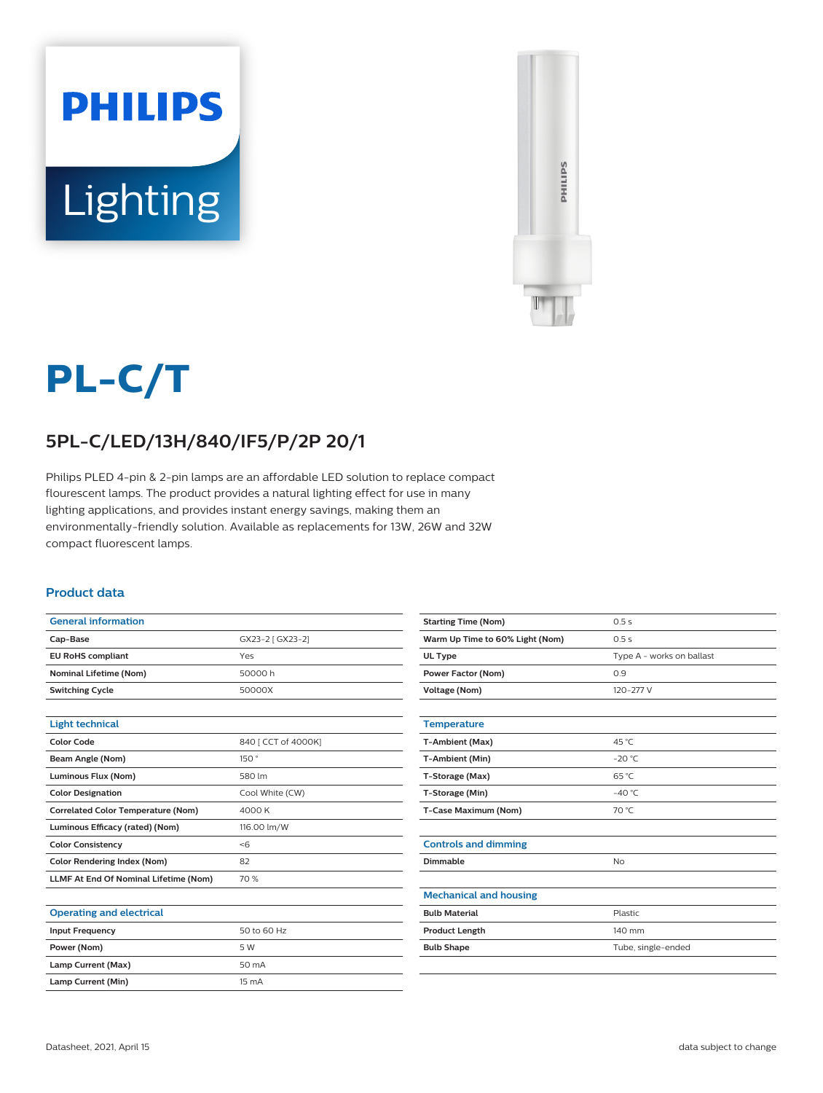



# **PL-C/T**

## **5PL-C/LED/13H/840/IF5/P/2P 20/1**

Philips PLED 4-pin & 2-pin lamps are an affordable LED solution to replace compact flourescent lamps. The product provides a natural lighting effect for use in many lighting applications, and provides instant energy savings, making them an environmentally-friendly solution. Available as replacements for 13W, 26W and 32W compact fluorescent lamps.

#### **Product data**

| <b>General information</b>                   |                     |
|----------------------------------------------|---------------------|
| Cap-Base                                     | GX23-2 [ GX23-2]    |
| <b>EU RoHS compliant</b>                     | Yes                 |
| <b>Nominal Lifetime (Nom)</b>                | 50000 h             |
| <b>Switching Cycle</b>                       | 50000X              |
|                                              |                     |
| <b>Light technical</b>                       |                     |
| <b>Color Code</b>                            | 840 [ CCT of 4000K] |
| Beam Angle (Nom)                             | 150°                |
| Luminous Flux (Nom)                          | 580 lm              |
| <b>Color Designation</b>                     | Cool White (CW)     |
| <b>Correlated Color Temperature (Nom)</b>    | 4000 K              |
| Luminous Efficacy (rated) (Nom)              | 116.00 lm/W         |
| <b>Color Consistency</b>                     | < 6                 |
| <b>Color Rendering Index (Nom)</b>           | 82                  |
| <b>LLMF At End Of Nominal Lifetime (Nom)</b> | 70 %                |
|                                              |                     |
| <b>Operating and electrical</b>              |                     |
| <b>Input Frequency</b>                       | 50 to 60 Hz         |
| Power (Nom)                                  | 5 W                 |
| Lamp Current (Max)                           | 50 mA               |

| <b>Starting Time (Nom)</b>      | 0.5s                      |
|---------------------------------|---------------------------|
| Warm Up Time to 60% Light (Nom) | 0.5s                      |
| UL Type                         | Type A - works on ballast |
| <b>Power Factor (Nom)</b>       | 0.9                       |
| <b>Voltage (Nom)</b>            | 120-277 V                 |
|                                 |                           |
| <b>Temperature</b>              |                           |
| T-Ambient (Max)                 | 45 °C                     |
| T-Ambient (Min)                 | $-20$ °C                  |
| T-Storage (Max)                 | 65 °C                     |
| T-Storage (Min)                 | $-40 °C$                  |
| T-Case Maximum (Nom)            | 70 °C                     |
|                                 |                           |
| <b>Controls and dimming</b>     |                           |
| Dimmable                        | No                        |
|                                 |                           |
| <b>Mechanical and housing</b>   |                           |
| <b>Bulb Material</b>            | Plastic                   |
| <b>Product Length</b>           | 140 mm                    |
| <b>Bulb Shape</b>               | Tube, single-ended        |
|                                 |                           |

**Lamp Current (Min)** 15 mA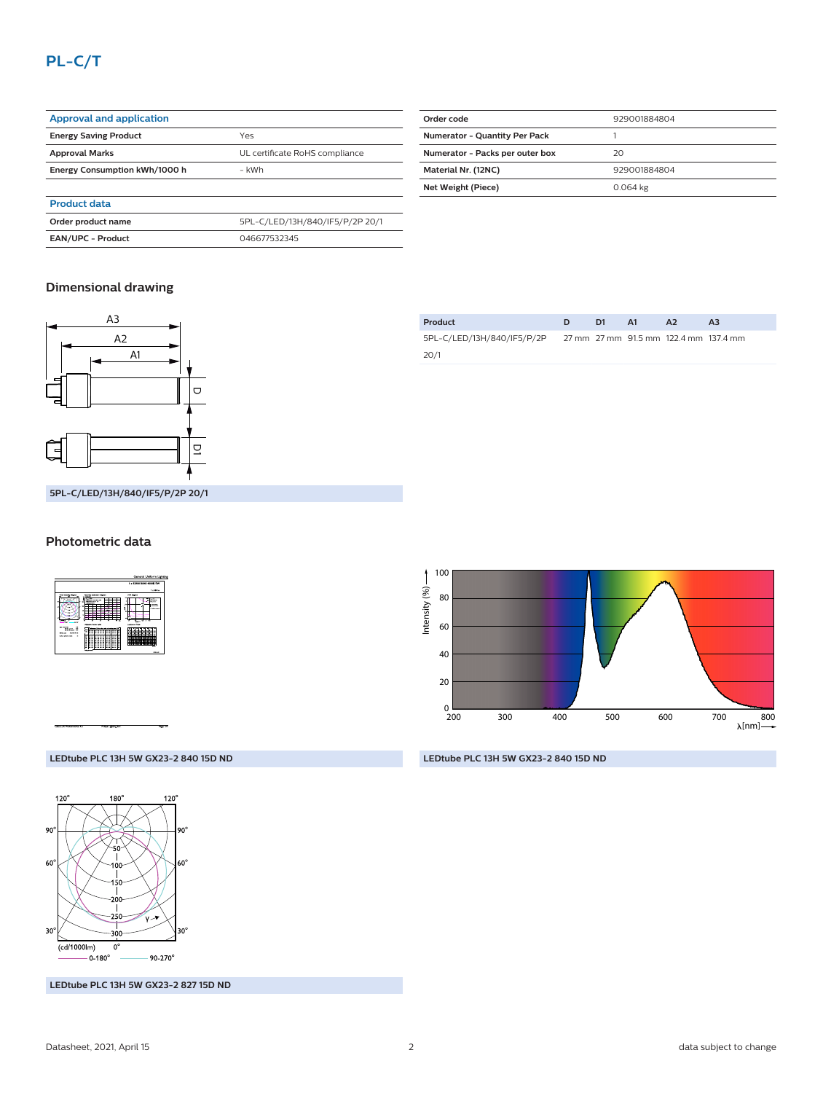### **PL-C/T**

| <b>Approval and application</b> |                                 |
|---------------------------------|---------------------------------|
| <b>Energy Saving Product</b>    | Yes                             |
| <b>Approval Marks</b>           | UL certificate RoHS compliance  |
| Energy Consumption kWh/1000 h   | - kWh                           |
|                                 |                                 |
| <b>Product data</b>             |                                 |
| Order product name              | 5PL-C/LED/13H/840/IF5/P/2P 20/1 |
| <b>EAN/UPC - Product</b>        | 046677532345                    |

| Order code                           | 929001884804 |
|--------------------------------------|--------------|
| <b>Numerator - Quantity Per Pack</b> |              |
| Numerator - Packs per outer box      | 20           |
| Material Nr. (12NC)                  | 929001884804 |
| Net Weight (Piece)                   | 0.064 kg     |
|                                      |              |

#### **Dimensional drawing**



| Product                    | D1. | <b>A1</b> | A <sub>2</sub>                        | A <sub>3</sub> |
|----------------------------|-----|-----------|---------------------------------------|----------------|
| 5PL-C/LED/13H/840/IF5/P/2P |     |           | 27 mm 27 mm 91.5 mm 122.4 mm 137.4 mm |                |
| 20/1                       |     |           |                                       |                |



#### **Photometric data**

|                                                               |                                                                   | General Uniform Lighting                                                                                              |
|---------------------------------------------------------------|-------------------------------------------------------------------|-----------------------------------------------------------------------------------------------------------------------|
|                                                               |                                                                   | 1 + 1210018548 4000K TW                                                                                               |
|                                                               |                                                                   | 11.98%                                                                                                                |
| <b>Business Communities</b> Allegand                          | Charles painting damage                                           | LGL signs                                                                                                             |
| <b>AGENCY</b><br><br>$n \times n$                             | $\overline{1}$<br><b>WHAT SIRE RINGER</b><br>---<br>USuba 53x189  | --<br><b>SANA</b><br><b>CONTRACT</b><br><b><i><u>SALES COMPANY</u></i></b><br>$1 - 10 - 10$<br><b>Letterson, Fabu</b> |
| <b>Milled Ave</b><br>÷<br><b>NON AVEV</b>                     | and it is also all primate deal to                                |                                                                                                                       |
| <b>Mills Barnett 198</b><br><b>CARDON</b><br><b>Statement</b> | <b>Call College Ave</b><br>п<br>a a<br>×                          |                                                                                                                       |
| <b>When the ALB Inc.</b><br>٠                                 | ×<br>÷<br>÷<br>Ξ<br>Ξ<br>s<br>Ξ<br>Ξ<br>Ξ<br>н<br>c<br>÷<br>c<br> |                                                                                                                       |
|                                                               | <b>NAME OF GROOM</b>                                              | <b>District</b>                                                                                                       |

#### **LEDtube PLC 13H 5W GX23-2 840 15D ND**



**LEDtube PLC 13H 5W GX23-2 827 15D ND**

**LEDtube PLC 13H 5W GX23-2 840 15D ND**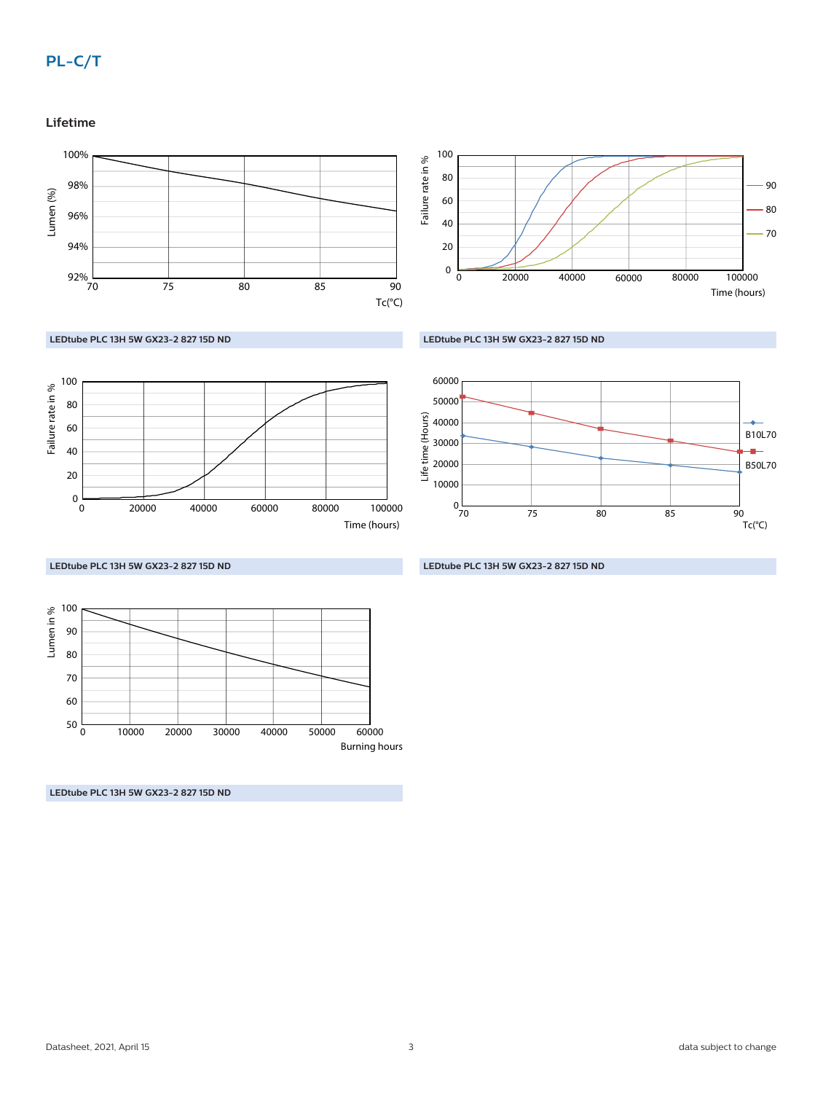#### **Lifetime**

Failure rate in %

 $0\frac{L}{0}$ 

60 40 20

80 100











**LEDtube PLC 13H 5W GX23-2 827 15D ND**



0 20000 40000 60000 80000

**LEDtube PLC 13H 5W GX23-2 827 15D ND**

**LEDtube PLC 13H 5W GX23-2 827 15D ND**